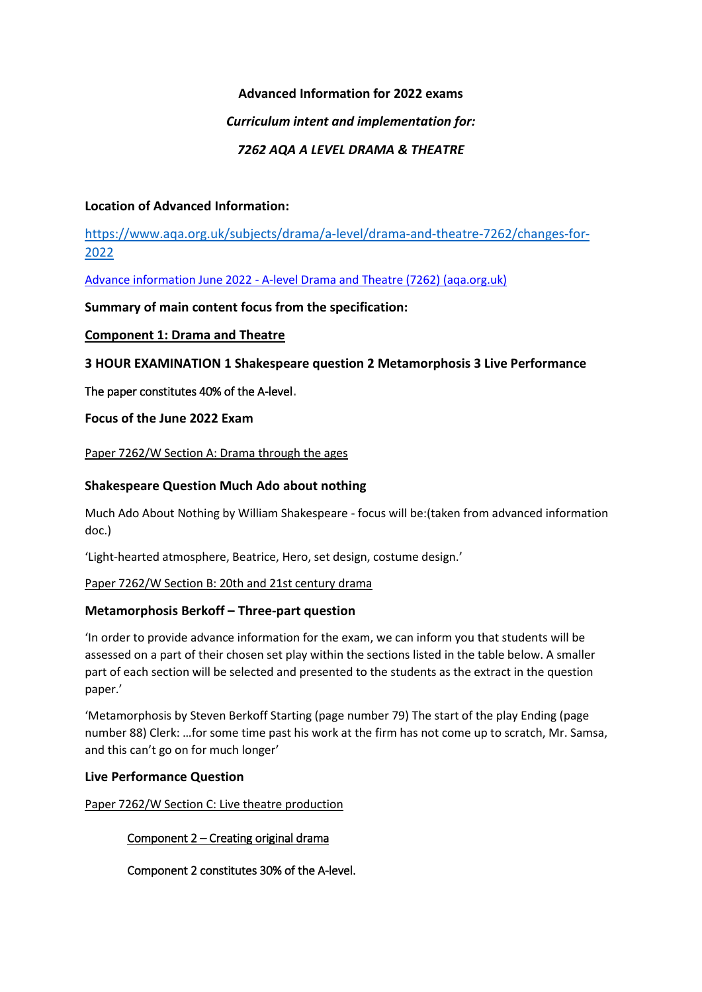## **Advanced Information for 2022 exams**

## *Curriculum intent and implementation for:*

## *7262 AQA A LEVEL DRAMA & THEATRE*

## **Location of Advanced Information:**

[https://www.aqa.org.uk/subjects/drama/a-level/drama-and-theatre-7262/changes-for-](https://www.aqa.org.uk/subjects/drama/a-level/drama-and-theatre-7262/changes-for-2022)[2022](https://www.aqa.org.uk/subjects/drama/a-level/drama-and-theatre-7262/changes-for-2022)

Advance information June 2022 - [A-level Drama and Theatre \(7262\) \(aqa.org.uk\)](https://filestore.aqa.org.uk/content/summer-2022/AQA-7262-AI-22.PDF)

**Summary of main content focus from the specification:**

## **Component 1: Drama and Theatre**

**3 HOUR EXAMINATION 1 Shakespeare question 2 Metamorphosis 3 Live Performance**

The paper constitutes 40% of the A-level.

**Focus of the June 2022 Exam**

Paper 7262/W Section A: Drama through the ages

## **Shakespeare Question Much Ado about nothing**

Much Ado About Nothing by William Shakespeare - focus will be:(taken from advanced information doc.)

'Light-hearted atmosphere, Beatrice, Hero, set design, costume design.'

Paper 7262/W Section B: 20th and 21st century drama

### **Metamorphosis Berkoff – Three-part question**

'In order to provide advance information for the exam, we can inform you that students will be assessed on a part of their chosen set play within the sections listed in the table below. A smaller part of each section will be selected and presented to the students as the extract in the question paper.'

'Metamorphosis by Steven Berkoff Starting (page number 79) The start of the play Ending (page number 88) Clerk: …for some time past his work at the firm has not come up to scratch, Mr. Samsa, and this can't go on for much longer'

# **Live Performance Question**

Paper 7262/W Section C: Live theatre production

Component 2 – Creating original drama

Component 2 constitutes 30% of the A-level.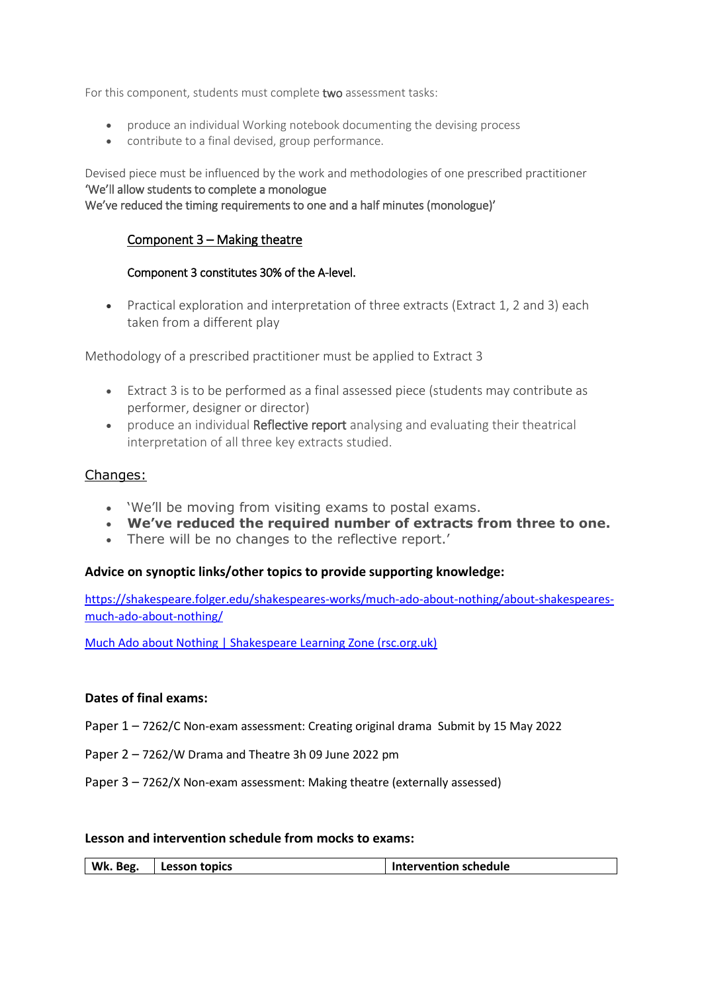For this component, students must complete two assessment tasks:

- produce an individual Working notebook documenting the devising process
- contribute to a final devised, group performance.

Devised piece must be influenced by the work and methodologies of one prescribed practitioner 'We'll allow students to complete a monologue We've reduced the timing requirements to one and a half minutes (monologue)'

## Component 3 – Making theatre

### Component 3 constitutes 30% of the A-level.

• Practical exploration and interpretation of three extracts (Extract 1, 2 and 3) each taken from a different play

Methodology of a prescribed practitioner must be applied to Extract 3

- Extract 3 is to be performed as a final assessed piece (students may contribute as performer, designer or director)
- produce an individual Reflective report analysing and evaluating their theatrical interpretation of all three key extracts studied.

### Changes:

- 'We'll be moving from visiting exams to postal exams.
- **We've reduced the required number of extracts from three to one.**
- There will be no changes to the reflective report.'

### **Advice on synoptic links/other topics to provide supporting knowledge:**

[https://shakespeare.folger.edu/shakespeares-works/much-ado-about-nothing/about-shakespeares](https://shakespeare.folger.edu/shakespeares-works/much-ado-about-nothing/about-shakespeares-much-ado-about-nothing/)[much-ado-about-nothing/](https://shakespeare.folger.edu/shakespeares-works/much-ado-about-nothing/about-shakespeares-much-ado-about-nothing/)

[Much Ado about Nothing | Shakespeare Learning Zone \(rsc.org.uk\)](https://www.rsc.org.uk/shakespeare-learning-zone/much-ado-about-nothing)

### **Dates of final exams:**

- Paper 1 7262/C Non-exam assessment: Creating original drama Submit by 15 May 2022
- Paper 2 7262/W Drama and Theatre 3h 09 June 2022 pm
- Paper 3 7262/X Non-exam assessment: Making theatre (externally assessed)

### **Lesson and intervention schedule from mocks to exams:**